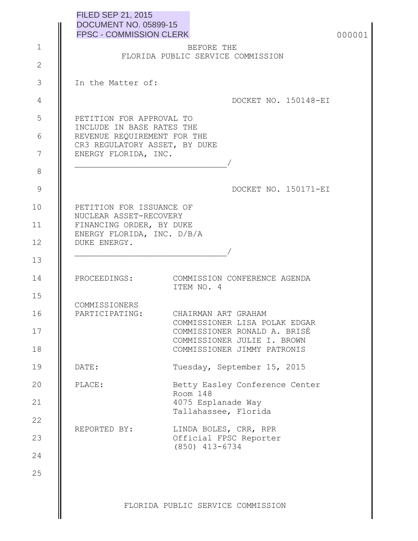|               | <b>FILED SEP 21, 2015</b><br><b>DOCUMENT NO. 05899-15</b> |                                                             |        |
|---------------|-----------------------------------------------------------|-------------------------------------------------------------|--------|
|               | <b>FPSC - COMMISSION CLERK</b>                            |                                                             | 000001 |
| $\mathbf 1$   | BEFORE THE<br>FLORIDA PUBLIC SERVICE COMMISSION           |                                                             |        |
| $\mathbf{2}$  |                                                           |                                                             |        |
| 3             | In the Matter of:                                         |                                                             |        |
| 4             |                                                           | DOCKET NO. 150148-EI                                        |        |
| 5             | PETITION FOR APPROVAL TO<br>INCLUDE IN BASE RATES THE     |                                                             |        |
| 6             | REVENUE REQUIREMENT FOR THE                               |                                                             |        |
| 7             | CR3 REGULATORY ASSET, BY DUKE<br>ENERGY FLORIDA, INC.     |                                                             |        |
| 8             |                                                           |                                                             |        |
| $\mathcal{G}$ |                                                           | DOCKET NO. 150171-EI                                        |        |
| 10            | PETITION FOR ISSUANCE OF<br>NUCLEAR ASSET-RECOVERY        |                                                             |        |
| 11            | FINANCING ORDER, BY DUKE<br>ENERGY FLORIDA, INC. D/B/A    |                                                             |        |
| 12            | DUKE ENERGY.                                              |                                                             |        |
| 13            |                                                           |                                                             |        |
| 14            | PROCEEDINGS:                                              | COMMISSION CONFERENCE AGENDA<br>ITEM NO. 4                  |        |
| 15            | COMMISSIONERS                                             |                                                             |        |
| 16            | PARTICIPATING:                                            | CHAIRMAN ART GRAHAM<br>COMMISSIONER LISA POLAK EDGAR        |        |
| 17            |                                                           | COMMISSIONER RONALD A. BRISÉ<br>COMMISSIONER JULIE I. BROWN |        |
| 18            |                                                           | COMMISSIONER JIMMY PATRONIS                                 |        |
| 19            | DATE:                                                     | Tuesday, September 15, 2015                                 |        |
| 20            | PLACE:                                                    | Betty Easley Conference Center<br>Room 148                  |        |
| 21            |                                                           | 4075 Esplanade Way<br>Tallahassee, Florida                  |        |
| 22            | REPORTED BY:                                              | LINDA BOLES, CRR, RPR                                       |        |
| 23            |                                                           | Official FPSC Reporter<br>$(850)$ 413-6734                  |        |
| 24            |                                                           |                                                             |        |
| 25            |                                                           |                                                             |        |
|               |                                                           | FLORIDA PUBLIC SERVICE COMMISSION                           |        |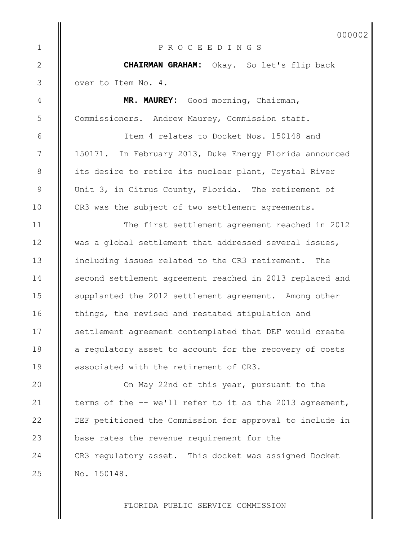P R O C E E D I N G S **CHAIRMAN GRAHAM:** Okay. So let's flip back over to Item No. 4. **MR. MAUREY:** Good morning, Chairman, Commissioners. Andrew Maurey, Commission staff. Item 4 relates to Docket Nos. 150148 and 150171. In February 2013, Duke Energy Florida announced its desire to retire its nuclear plant, Crystal River Unit 3, in Citrus County, Florida. The retirement of CR3 was the subject of two settlement agreements. The first settlement agreement reached in 2012 was a global settlement that addressed several issues, including issues related to the CR3 retirement. The second settlement agreement reached in 2013 replaced and supplanted the 2012 settlement agreement. Among other things, the revised and restated stipulation and settlement agreement contemplated that DEF would create a regulatory asset to account for the recovery of costs associated with the retirement of CR3. On May 22nd of this year, pursuant to the terms of the -- we'll refer to it as the 2013 agreement, DEF petitioned the Commission for approval to include in base rates the revenue requirement for the CR3 regulatory asset. This docket was assigned Docket 1 2 3 4 5 6 7 8 9 10 11 12 13 14 15 16 17 18 19 20 21 22 23 24

FLORIDA PUBLIC SERVICE COMMISSION

No. 150148.

25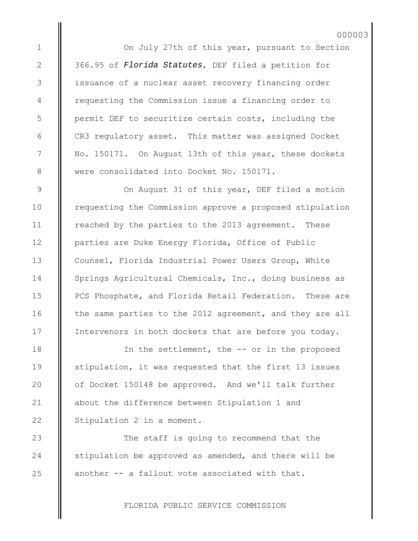000003

On July 27th of this year, pursuant to Section 366.95 of *Florida Statutes*, DEF filed a petition for issuance of a nuclear asset recovery financing order requesting the Commission issue a financing order to permit DEF to securitize certain costs, including the CR3 regulatory asset. This matter was assigned Docket No. 150171. On August 13th of this year, these dockets were consolidated into Docket No. 150171.

On August 31 of this year, DEF filed a motion requesting the Commission approve a proposed stipulation reached by the parties to the 2013 agreement. These parties are Duke Energy Florida, Office of Public Counsel, Florida Industrial Power Users Group, White Springs Agricultural Chemicals, Inc., doing business as PCS Phosphate, and Florida Retail Federation. These are the same parties to the 2012 agreement, and they are all Intervenors in both dockets that are before you today.

In the settlement, the -- or in the proposed stipulation, it was requested that the first 13 issues of Docket 150148 be approved. And we'll talk further about the difference between Stipulation 1 and Stipulation 2 in a moment.

The staff is going to recommend that the stipulation be approved as amended, and there will be another -- a fallout vote associated with that.

FLORIDA PUBLIC SERVICE COMMISSION

25

1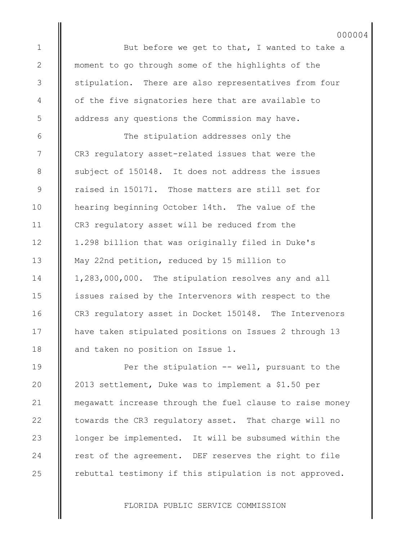000004

But before we get to that, I wanted to take a moment to go through some of the highlights of the stipulation. There are also representatives from four of the five signatories here that are available to address any questions the Commission may have.

The stipulation addresses only the CR3 regulatory asset-related issues that were the subject of 150148. It does not address the issues raised in 150171. Those matters are still set for hearing beginning October 14th. The value of the CR3 regulatory asset will be reduced from the 1.298 billion that was originally filed in Duke's May 22nd petition, reduced by 15 million to 1,283,000,000. The stipulation resolves any and all issues raised by the Intervenors with respect to the CR3 regulatory asset in Docket 150148. The Intervenors have taken stipulated positions on Issues 2 through 13 and taken no position on Issue 1.

Per the stipulation  $--$  well, pursuant to the 2013 settlement, Duke was to implement a \$1.50 per megawatt increase through the fuel clause to raise money towards the CR3 regulatory asset. That charge will no longer be implemented. It will be subsumed within the rest of the agreement. DEF reserves the right to file rebuttal testimony if this stipulation is not approved.

FLORIDA PUBLIC SERVICE COMMISSION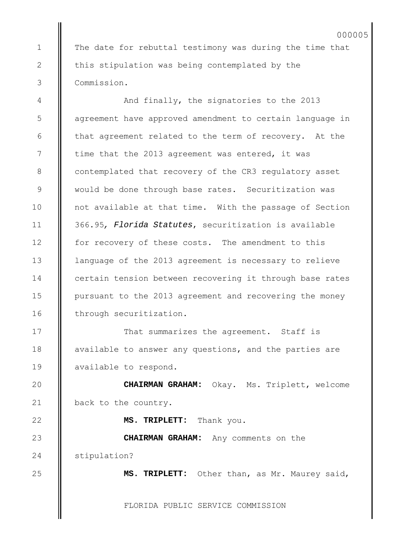The date for rebuttal testimony was during the time that this stipulation was being contemplated by the Commission.

And finally, the signatories to the 2013 agreement have approved amendment to certain language in that agreement related to the term of recovery. At the time that the 2013 agreement was entered, it was contemplated that recovery of the CR3 regulatory asset would be done through base rates. Securitization was not available at that time. With the passage of Section 366.95*, Florida Statutes*, securitization is available for recovery of these costs. The amendment to this language of the 2013 agreement is necessary to relieve certain tension between recovering it through base rates pursuant to the 2013 agreement and recovering the money through securitization.

That summarizes the agreement. Staff is available to answer any questions, and the parties are available to respond.

**CHAIRMAN GRAHAM:** Okay. Ms. Triplett, welcome back to the country.

**MS. TRIPLETT:** Thank you.

**CHAIRMAN GRAHAM:** Any comments on the stipulation?

**MS. TRIPLETT:** Other than, as Mr. Maurey said,

FLORIDA PUBLIC SERVICE COMMISSION

23

24

25

1

2

3

4

5

6

7

8

9

10

11

12

13

14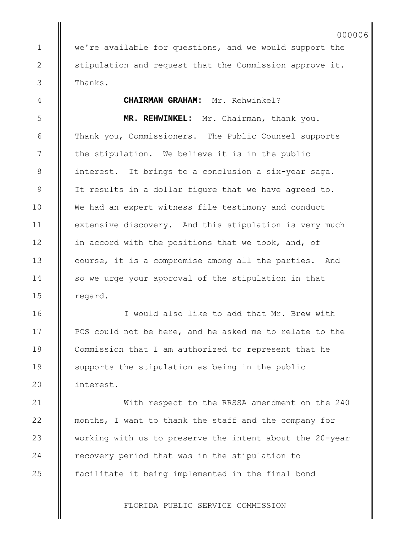we're available for questions, and we would support the stipulation and request that the Commission approve it. Thanks.

1

2

3

4

5

6

7

8

9

10

11

12

13

14

15

16

17

18

19

20

21

22

23

24

25

**CHAIRMAN GRAHAM:** Mr. Rehwinkel?

**MR. REHWINKEL:** Mr. Chairman, thank you. Thank you, Commissioners. The Public Counsel supports the stipulation. We believe it is in the public interest. It brings to a conclusion a six-year saga. It results in a dollar figure that we have agreed to. We had an expert witness file testimony and conduct extensive discovery. And this stipulation is very much in accord with the positions that we took, and, of course, it is a compromise among all the parties. And so we urge your approval of the stipulation in that regard.

I would also like to add that Mr. Brew with PCS could not be here, and he asked me to relate to the Commission that I am authorized to represent that he supports the stipulation as being in the public interest.

With respect to the RRSSA amendment on the 240 months, I want to thank the staff and the company for working with us to preserve the intent about the 20-year recovery period that was in the stipulation to facilitate it being implemented in the final bond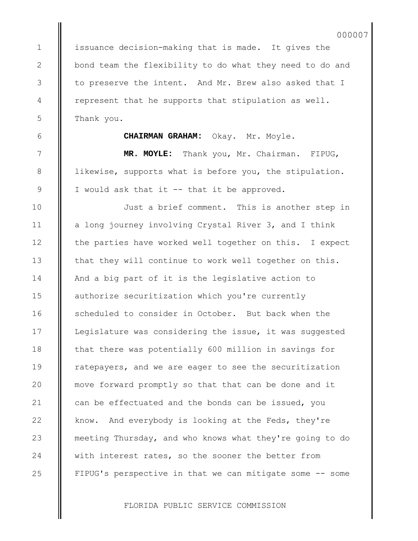issuance decision-making that is made. It gives the bond team the flexibility to do what they need to do and to preserve the intent. And Mr. Brew also asked that I represent that he supports that stipulation as well. Thank you.

1

2

3

4

5

6

7

8

9

10

11

12

13

14

15

16

17

18

19

 $20$ 

21

22

23

24

25

**CHAIRMAN GRAHAM:** Okay. Mr. Moyle.

**MR. MOYLE:** Thank you, Mr. Chairman. FIPUG, likewise, supports what is before you, the stipulation. I would ask that it -- that it be approved.

Just a brief comment. This is another step in a long journey involving Crystal River 3, and I think the parties have worked well together on this. I expect that they will continue to work well together on this. And a big part of it is the legislative action to authorize securitization which you're currently scheduled to consider in October. But back when the Legislature was considering the issue, it was suggested that there was potentially 600 million in savings for ratepayers, and we are eager to see the securitization move forward promptly so that that can be done and it can be effectuated and the bonds can be issued, you know. And everybody is looking at the Feds, they're meeting Thursday, and who knows what they're going to do with interest rates, so the sooner the better from FIPUG's perspective in that we can mitigate some -- some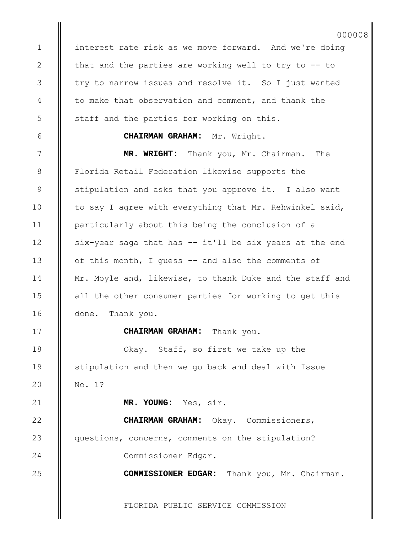interest rate risk as we move forward. And we're doing that and the parties are working well to try to -- to try to narrow issues and resolve it. So I just wanted to make that observation and comment, and thank the staff and the parties for working on this.

000008

1

2

3

4

5

6

7

8

9

10

11

12

13

14

15

16

17

18

19

20

21

22

23

24

25

**CHAIRMAN GRAHAM:** Mr. Wright.

**MR. WRIGHT:** Thank you, Mr. Chairman. The Florida Retail Federation likewise supports the stipulation and asks that you approve it. I also want to say I agree with everything that Mr. Rehwinkel said, particularly about this being the conclusion of a six-year saga that has -- it'll be six years at the end of this month, I guess -- and also the comments of Mr. Moyle and, likewise, to thank Duke and the staff and all the other consumer parties for working to get this done. Thank you.

**CHAIRMAN GRAHAM:** Thank you.

Okay. Staff, so first we take up the stipulation and then we go back and deal with Issue No. 1?

**MR. YOUNG:** Yes, sir.

**CHAIRMAN GRAHAM:** Okay. Commissioners, questions, concerns, comments on the stipulation? Commissioner Edgar.

**COMMISSIONER EDGAR:** Thank you, Mr. Chairman.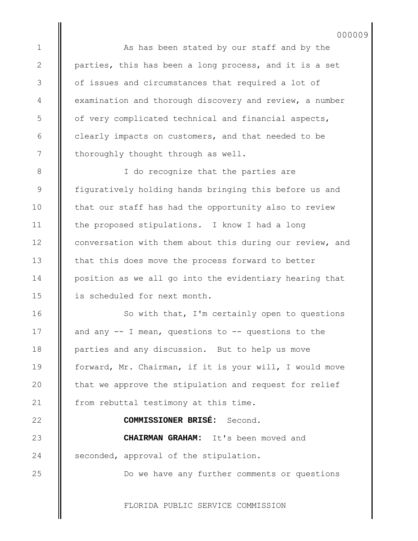As has been stated by our staff and by the parties, this has been a long process, and it is a set of issues and circumstances that required a lot of examination and thorough discovery and review, a number of very complicated technical and financial aspects, clearly impacts on customers, and that needed to be thoroughly thought through as well.

1

2

3

4

5

6

7

8

9

10

11

12

13

14

15

16

17

18

19

20

21

22

23

24

25

I do recognize that the parties are figuratively holding hands bringing this before us and that our staff has had the opportunity also to review the proposed stipulations. I know I had a long conversation with them about this during our review, and that this does move the process forward to better position as we all go into the evidentiary hearing that is scheduled for next month.

So with that, I'm certainly open to questions and any  $-$  I mean, questions to  $-$  questions to the parties and any discussion. But to help us move forward, Mr. Chairman, if it is your will, I would move that we approve the stipulation and request for relief from rebuttal testimony at this time.

**COMMISSIONER BRISÉ:** Second.

**CHAIRMAN GRAHAM:** It's been moved and seconded, approval of the stipulation.

Do we have any further comments or questions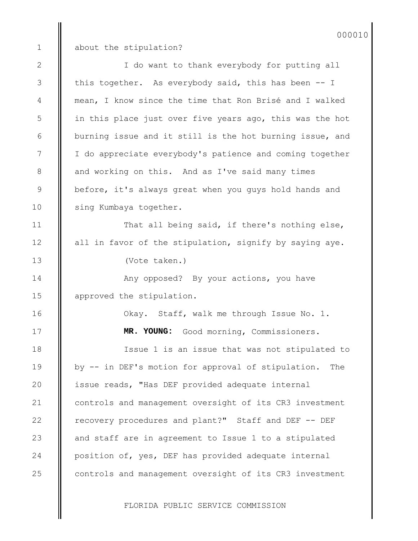## about the stipulation?

1

2

3

4

5

6

7

8

9

10

11

12

13

14

15

16

17

18

19

20

21

22

23

24

25

I do want to thank everybody for putting all this together. As everybody said, this has been -- I mean, I know since the time that Ron Brisé and I walked in this place just over five years ago, this was the hot burning issue and it still is the hot burning issue, and I do appreciate everybody's patience and coming together and working on this. And as I've said many times before, it's always great when you guys hold hands and sing Kumbaya together.

That all being said, if there's nothing else, all in favor of the stipulation, signify by saying aye. (Vote taken.)

Any opposed? By your actions, you have approved the stipulation.

> Okay. Staff, walk me through Issue No. 1. **MR. YOUNG:** Good morning, Commissioners.

Issue 1 is an issue that was not stipulated to by -- in DEF's motion for approval of stipulation. The issue reads, "Has DEF provided adequate internal controls and management oversight of its CR3 investment recovery procedures and plant?" Staff and DEF -- DEF and staff are in agreement to Issue 1 to a stipulated position of, yes, DEF has provided adequate internal controls and management oversight of its CR3 investment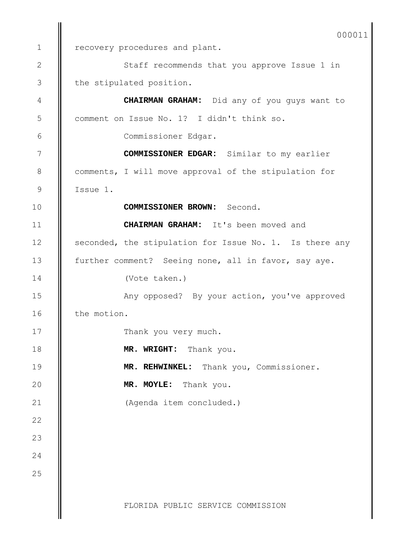FLORIDA PUBLIC SERVICE COMMISSION recovery procedures and plant. Staff recommends that you approve Issue 1 in the stipulated position. **CHAIRMAN GRAHAM:** Did any of you guys want to comment on Issue No. 1? I didn't think so. Commissioner Edgar. **COMMISSIONER EDGAR:** Similar to my earlier comments, I will move approval of the stipulation for Issue 1. **COMMISSIONER BROWN:** Second. **CHAIRMAN GRAHAM:** It's been moved and seconded, the stipulation for Issue No. 1. Is there any further comment? Seeing none, all in favor, say aye. (Vote taken.) Any opposed? By your action, you've approved the motion. Thank you very much. **MR. WRIGHT:** Thank you. **MR. REHWINKEL:** Thank you, Commissioner. **MR. MOYLE:** Thank you. (Agenda item concluded.) 1 2 3 4 5 6 7 8 9 10 11 12 13 14 15 16 17 18 19 20 21 22 23 24 25 000011